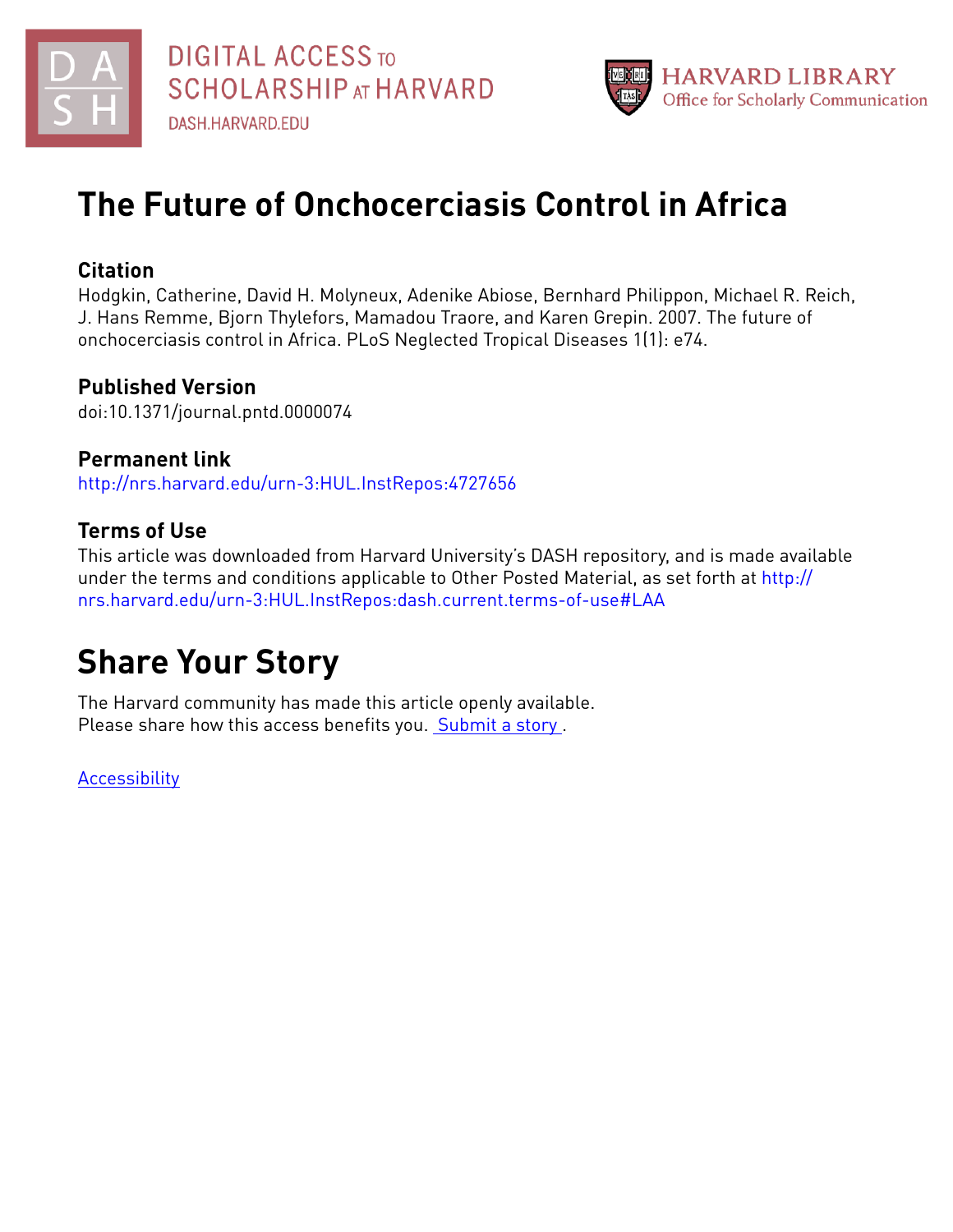



## **The Future of Onchocerciasis Control in Africa**

### **Citation**

Hodgkin, Catherine, David H. Molyneux, Adenike Abiose, Bernhard Philippon, Michael R. Reich, J. Hans Remme, Bjorn Thylefors, Mamadou Traore, and Karen Grepin. 2007. The future of onchocerciasis control in Africa. PLoS Neglected Tropical Diseases 1(1): e74.

## **Published Version**

doi:10.1371/journal.pntd.0000074

### **Permanent link** <http://nrs.harvard.edu/urn-3:HUL.InstRepos:4727656>

## **Terms of Use**

This article was downloaded from Harvard University's DASH repository, and is made available under the terms and conditions applicable to Other Posted Material, as set forth at [http://](http://nrs.harvard.edu/urn-3:HUL.InstRepos:dash.current.terms-of-use#LAA) [nrs.harvard.edu/urn-3:HUL.InstRepos:dash.current.terms-of-use#LAA](http://nrs.harvard.edu/urn-3:HUL.InstRepos:dash.current.terms-of-use#LAA)

# **Share Your Story**

The Harvard community has made this article openly available. Please share how this access benefits you. [Submit](http://osc.hul.harvard.edu/dash/open-access-feedback?handle=&title=The%20Future%20of%20Onchocerciasis%20Control%20in%20Africa&community=1/4454685&collection=1/4454686&owningCollection1/4454686&harvardAuthors=f2f782152b87f2003549932fc878375e&department) a story.

**[Accessibility](https://dash.harvard.edu/pages/accessibility)**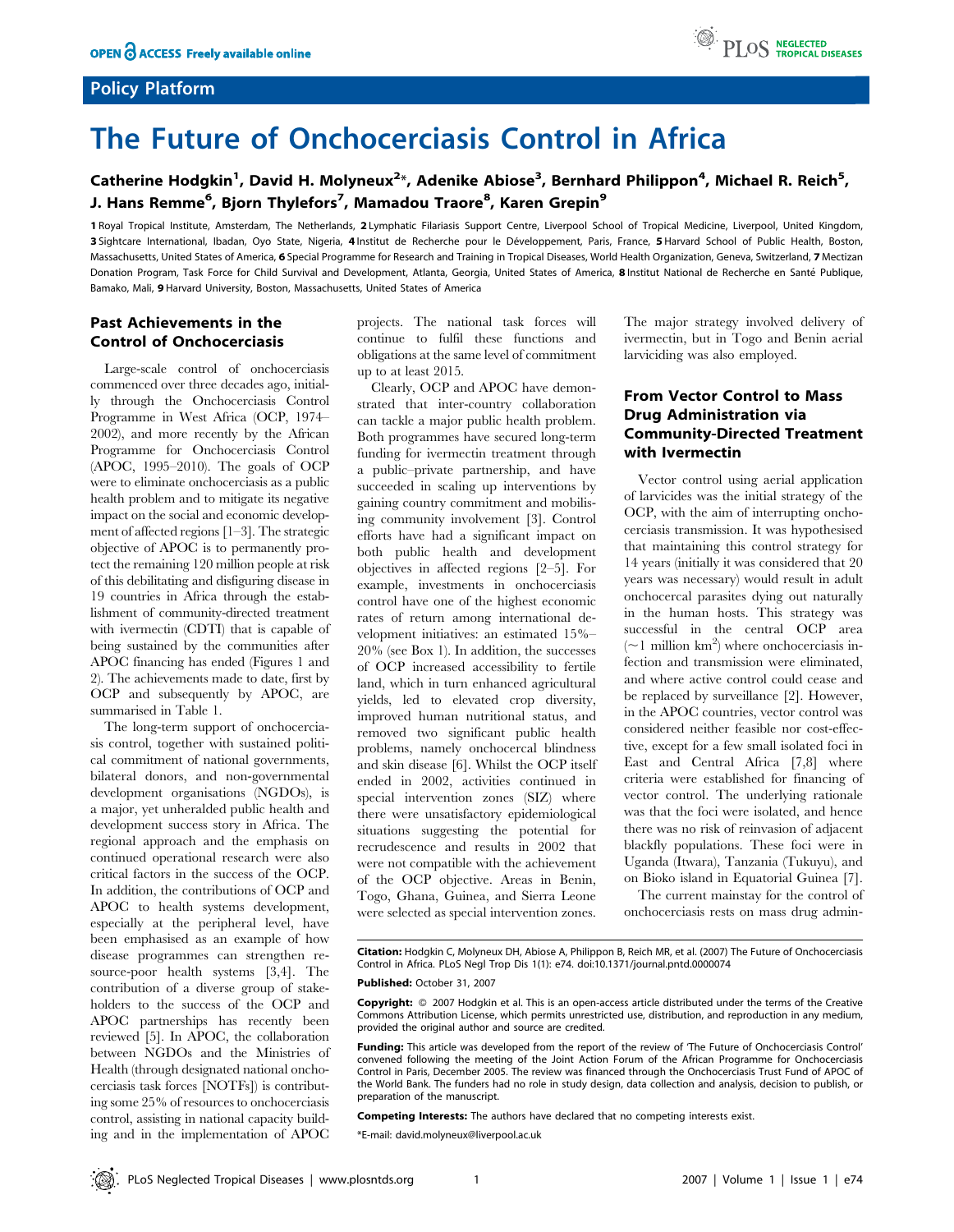#### Policy Platform



## The Future of Onchocerciasis Control in Africa

#### Catherine Hodgkin<sup>1</sup>, David H. Molyneux<sup>2</sup>\*, Adenike Abiose<sup>3</sup>, Bernhard Philippon<sup>4</sup>, Michael R. Reich<sup>5</sup>, J. Hans Remme<sup>6</sup>, Bjorn Thylefors<sup>7</sup>, Mamadou Traore<sup>8</sup>, Karen Grepin<sup>9</sup>

1 Royal Tropical Institute, Amsterdam, The Netherlands, 2 Lymphatic Filariasis Support Centre, Liverpool School of Tropical Medicine, Liverpool, United Kingdom, 3 Sightcare International, Ibadan, Oyo State, Nigeria, 4 Institut de Recherche pour le Développement, Paris, France, 5 Harvard School of Public Health, Boston, Massachusetts, United States of America, 6 Special Programme for Research and Training in Tropical Diseases, World Health Organization, Geneva, Switzerland, 7 Mectizan Donation Program, Task Force for Child Survival and Development, Atlanta, Georgia, United States of America, 8 Institut National de Recherche en Santé Publique, Bamako, Mali, 9 Harvard University, Boston, Massachusetts, United States of America

#### Past Achievements in the Control of Onchocerciasis

Large-scale control of onchocerciasis commenced over three decades ago, initially through the Onchocerciasis Control Programme in West Africa (OCP, 1974– 2002), and more recently by the African Programme for Onchocerciasis Control (APOC, 1995–2010). The goals of OCP were to eliminate onchocerciasis as a public health problem and to mitigate its negative impact on the social and economic development of affected regions [1–3]. The strategic objective of APOC is to permanently protect the remaining 120 million people at risk of this debilitating and disfiguring disease in 19 countries in Africa through the establishment of community-directed treatment with ivermectin (CDTI) that is capable of being sustained by the communities after APOC financing has ended (Figures 1 and 2). The achievements made to date, first by OCP and subsequently by APOC, are summarised in Table 1.

The long-term support of onchocerciasis control, together with sustained political commitment of national governments, bilateral donors, and non-governmental development organisations (NGDOs), is a major, yet unheralded public health and development success story in Africa. The regional approach and the emphasis on continued operational research were also critical factors in the success of the OCP. In addition, the contributions of OCP and APOC to health systems development, especially at the peripheral level, have been emphasised as an example of how disease programmes can strengthen resource-poor health systems [3,4]. The contribution of a diverse group of stakeholders to the success of the OCP and APOC partnerships has recently been reviewed [5]. In APOC, the collaboration between NGDOs and the Ministries of Health (through designated national onchocerciasis task forces [NOTFs]) is contributing some 25% of resources to onchocerciasis control, assisting in national capacity building and in the implementation of APOC

projects. The national task forces will continue to fulfil these functions and obligations at the same level of commitment up to at least 2015.

Clearly, OCP and APOC have demonstrated that inter-country collaboration can tackle a major public health problem. Both programmes have secured long-term funding for ivermectin treatment through a public–private partnership, and have succeeded in scaling up interventions by gaining country commitment and mobilising community involvement [3]. Control efforts have had a significant impact on both public health and development objectives in affected regions [2–5]. For example, investments in onchocerciasis control have one of the highest economic rates of return among international development initiatives: an estimated 15%– 20% (see Box 1). In addition, the successes of OCP increased accessibility to fertile land, which in turn enhanced agricultural yields, led to elevated crop diversity, improved human nutritional status, and removed two significant public health problems, namely onchocercal blindness and skin disease [6]. Whilst the OCP itself ended in 2002, activities continued in special intervention zones (SIZ) where there were unsatisfactory epidemiological situations suggesting the potential for recrudescence and results in 2002 that were not compatible with the achievement of the OCP objective. Areas in Benin, Togo, Ghana, Guinea, and Sierra Leone were selected as special intervention zones.

The major strategy involved delivery of ivermectin, but in Togo and Benin aerial larviciding was also employed.

#### From Vector Control to Mass Drug Administration via Community-Directed Treatment with Ivermectin

Vector control using aerial application of larvicides was the initial strategy of the OCP, with the aim of interrupting onchocerciasis transmission. It was hypothesised that maintaining this control strategy for 14 years (initially it was considered that 20 years was necessary) would result in adult onchocercal parasites dying out naturally in the human hosts. This strategy was successful in the central OCP area  $(\sim 1 \text{ million km}^2)$  where onchocerciasis infection and transmission were eliminated, and where active control could cease and be replaced by surveillance [2]. However, in the APOC countries, vector control was considered neither feasible nor cost-effective, except for a few small isolated foci in East and Central Africa [7,8] where criteria were established for financing of vector control. The underlying rationale was that the foci were isolated, and hence there was no risk of reinvasion of adjacent blackfly populations. These foci were in Uganda (Itwara), Tanzania (Tukuyu), and on Bioko island in Equatorial Guinea [7].

The current mainstay for the control of onchocerciasis rests on mass drug admin-

Citation: Hodgkin C, Molyneux DH, Abiose A, Philippon B, Reich MR, et al. (2007) The Future of Onchocerciasis Control in Africa. PLoS Negl Trop Dis 1(1): e74. doi:10.1371/journal.pntd.0000074

#### Published: October 31, 2007

Copyright:  $\circ$  2007 Hodgkin et al. This is an open-access article distributed under the terms of the Creative Commons Attribution License, which permits unrestricted use, distribution, and reproduction in any medium, provided the original author and source are credited.

Funding: This article was developed from the report of the review of 'The Future of Onchocerciasis Control' convened following the meeting of the Joint Action Forum of the African Programme for Onchocerciasis Control in Paris, December 2005. The review was financed through the Onchocerciasis Trust Fund of APOC of the World Bank. The funders had no role in study design, data collection and analysis, decision to publish, or preparation of the manuscript.

Competing Interests: The authors have declared that no competing interests exist.

\*E-mail: david.molyneux@liverpool.ac.uk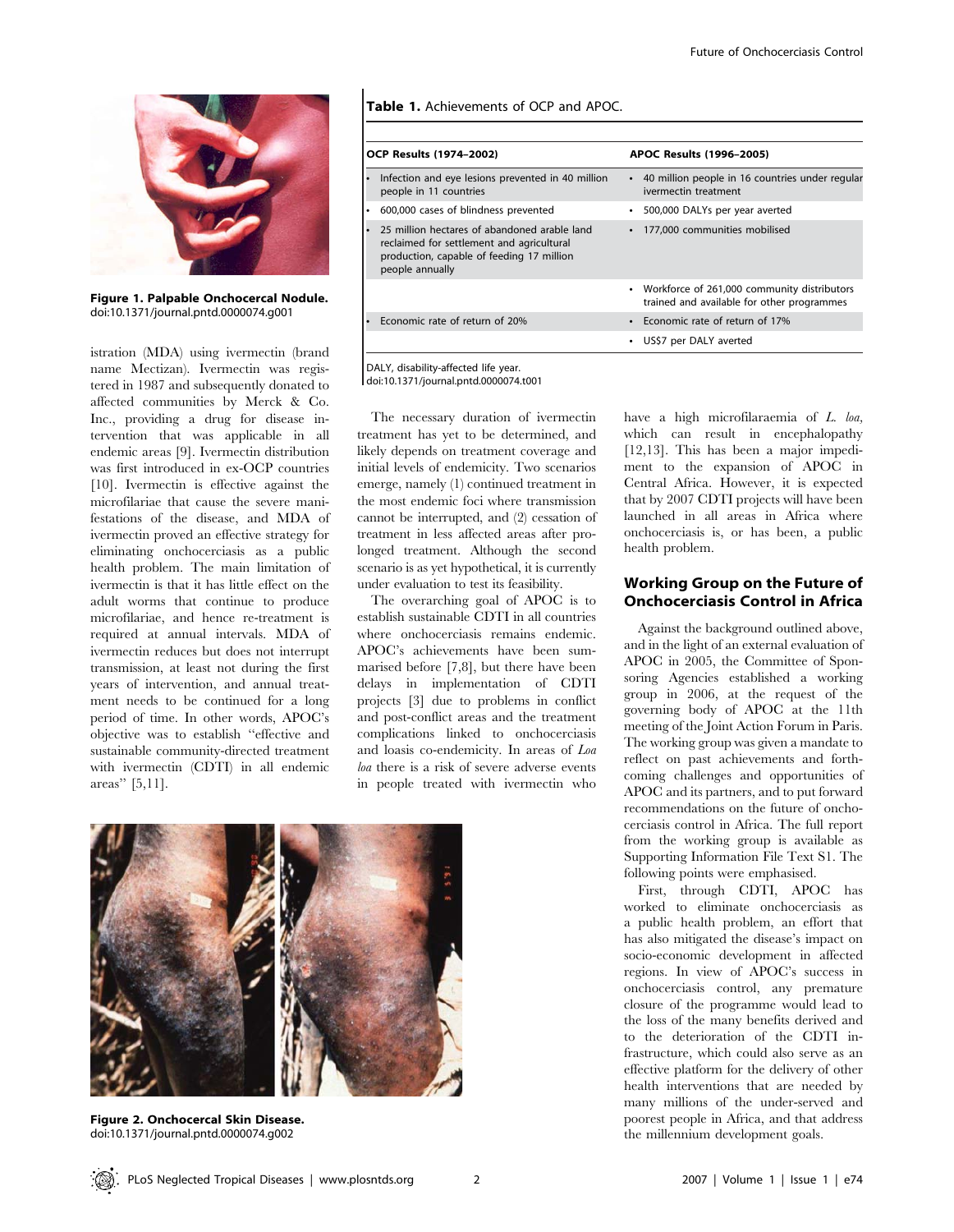

Figure 1. Palpable Onchocercal Nodule. doi:10.1371/journal.pntd.0000074.g001

istration (MDA) using ivermectin (brand name Mectizan). Ivermectin was registered in 1987 and subsequently donated to affected communities by Merck & Co. Inc., providing a drug for disease intervention that was applicable in all endemic areas [9]. Ivermectin distribution was first introduced in ex-OCP countries [10]. Ivermectin is effective against the microfilariae that cause the severe manifestations of the disease, and MDA of ivermectin proved an effective strategy for eliminating onchocerciasis as a public health problem. The main limitation of ivermectin is that it has little effect on the adult worms that continue to produce microfilariae, and hence re-treatment is required at annual intervals. MDA of ivermectin reduces but does not interrupt transmission, at least not during the first years of intervention, and annual treatment needs to be continued for a long period of time. In other words, APOC's objective was to establish ''effective and sustainable community-directed treatment with ivermectin (CDTI) in all endemic areas'' [5,11].

Table 1. Achievements of OCP and APOC.

| <b>OCP Results (1974-2002)</b>                                                                                                                                 | <b>APOC Results (1996-2005)</b>                                                             |
|----------------------------------------------------------------------------------------------------------------------------------------------------------------|---------------------------------------------------------------------------------------------|
| Infection and eye lesions prevented in 40 million<br>٠<br>people in 11 countries                                                                               | 40 million people in 16 countries under regular<br>$\bullet$<br>ivermectin treatment        |
| • 600,000 cases of blindness prevented                                                                                                                         | 500,000 DALYs per year averted<br>$\bullet$                                                 |
| 25 million hectares of abandoned arable land<br>۰<br>reclaimed for settlement and agricultural<br>production, capable of feeding 17 million<br>people annually | 177,000 communities mobilised                                                               |
|                                                                                                                                                                | • Workforce of 261,000 community distributors<br>trained and available for other programmes |
| Economic rate of return of 20%                                                                                                                                 | • Economic rate of return of 17%                                                            |
|                                                                                                                                                                | US\$7 per DALY averted                                                                      |

DALY, disability-affected life year. doi:10.1371/journal.pntd.0000074.t001

The necessary duration of ivermectin treatment has yet to be determined, and likely depends on treatment coverage and initial levels of endemicity. Two scenarios emerge, namely (1) continued treatment in the most endemic foci where transmission cannot be interrupted, and (2) cessation of treatment in less affected areas after prolonged treatment. Although the second scenario is as yet hypothetical, it is currently under evaluation to test its feasibility.

The overarching goal of APOC is to establish sustainable CDTI in all countries where onchocerciasis remains endemic. APOC's achievements have been summarised before [7,8], but there have been delays in implementation of CDTI projects [3] due to problems in conflict and post-conflict areas and the treatment complications linked to onchocerciasis and loasis co-endemicity. In areas of Loa loa there is a risk of severe adverse events in people treated with ivermectin who



Figure 2. Onchocercal Skin Disease. doi:10.1371/journal.pntd.0000074.g002

have a high microfilaraemia of L. loa, which can result in encephalopathy [12,13]. This has been a major impediment to the expansion of APOC in Central Africa. However, it is expected that by 2007 CDTI projects will have been launched in all areas in Africa where onchocerciasis is, or has been, a public health problem.

#### Working Group on the Future of Onchocerciasis Control in Africa

Against the background outlined above, and in the light of an external evaluation of APOC in 2005, the Committee of Sponsoring Agencies established a working group in 2006, at the request of the governing body of APOC at the 11th meeting of the Joint Action Forum in Paris. The working group was given a mandate to reflect on past achievements and forthcoming challenges and opportunities of APOC and its partners, and to put forward recommendations on the future of onchocerciasis control in Africa. The full report from the working group is available as Supporting Information File Text S1. The following points were emphasised.

First, through CDTI, APOC has worked to eliminate onchocerciasis as a public health problem, an effort that has also mitigated the disease's impact on socio-economic development in affected regions. In view of APOC's success in onchocerciasis control, any premature closure of the programme would lead to the loss of the many benefits derived and to the deterioration of the CDTI infrastructure, which could also serve as an effective platform for the delivery of other health interventions that are needed by many millions of the under-served and poorest people in Africa, and that address the millennium development goals.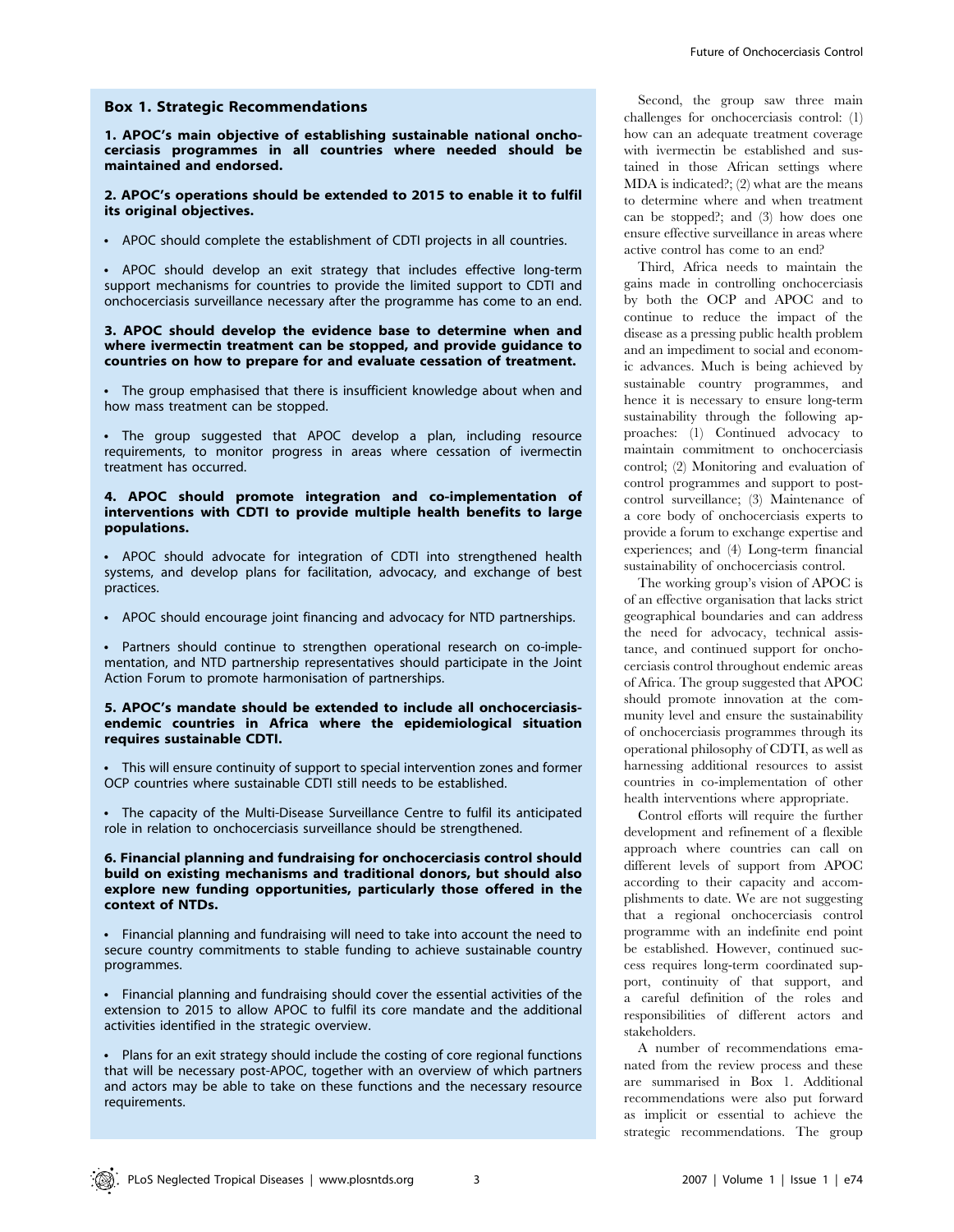#### Box 1. Strategic Recommendations

1. APOC's main objective of establishing sustainable national onchocerciasis programmes in all countries where needed should be maintained and endorsed.

#### 2. APOC's operations should be extended to 2015 to enable it to fulfil its original objectives.

• APOC should complete the establishment of CDTI projects in all countries.

• APOC should develop an exit strategy that includes effective long-term support mechanisms for countries to provide the limited support to CDTI and onchocerciasis surveillance necessary after the programme has come to an end.

#### 3. APOC should develop the evidence base to determine when and where ivermectin treatment can be stopped, and provide guidance to countries on how to prepare for and evaluate cessation of treatment.

• The group emphasised that there is insufficient knowledge about when and how mass treatment can be stopped.

• The group suggested that APOC develop a plan, including resource requirements, to monitor progress in areas where cessation of ivermectin treatment has occurred.

#### 4. APOC should promote integration and co-implementation of interventions with CDTI to provide multiple health benefits to large populations.

• APOC should advocate for integration of CDTI into strengthened health systems, and develop plans for facilitation, advocacy, and exchange of best practices.

• APOC should encourage joint financing and advocacy for NTD partnerships.

• Partners should continue to strengthen operational research on co-implementation, and NTD partnership representatives should participate in the Joint Action Forum to promote harmonisation of partnerships.

#### 5. APOC's mandate should be extended to include all onchocerciasisendemic countries in Africa where the epidemiological situation requires sustainable CDTI.

• This will ensure continuity of support to special intervention zones and former OCP countries where sustainable CDTI still needs to be established.

• The capacity of the Multi-Disease Surveillance Centre to fulfil its anticipated role in relation to onchocerciasis surveillance should be strengthened.

#### 6. Financial planning and fundraising for onchocerciasis control should build on existing mechanisms and traditional donors, but should also explore new funding opportunities, particularly those offered in the context of NTDs.

Financial planning and fundraising will need to take into account the need to secure country commitments to stable funding to achieve sustainable country programmes.

• Financial planning and fundraising should cover the essential activities of the extension to 2015 to allow APOC to fulfil its core mandate and the additional activities identified in the strategic overview.

• Plans for an exit strategy should include the costing of core regional functions that will be necessary post-APOC, together with an overview of which partners and actors may be able to take on these functions and the necessary resource requirements.

Second, the group saw three main challenges for onchocerciasis control: (1) how can an adequate treatment coverage with ivermectin be established and sustained in those African settings where MDA is indicated?; (2) what are the means to determine where and when treatment can be stopped?; and (3) how does one ensure effective surveillance in areas where active control has come to an end?

Third, Africa needs to maintain the gains made in controlling onchocerciasis by both the OCP and APOC and to continue to reduce the impact of the disease as a pressing public health problem and an impediment to social and economic advances. Much is being achieved by sustainable country programmes, and hence it is necessary to ensure long-term sustainability through the following approaches: (1) Continued advocacy to maintain commitment to onchocerciasis control; (2) Monitoring and evaluation of control programmes and support to postcontrol surveillance; (3) Maintenance of a core body of onchocerciasis experts to provide a forum to exchange expertise and experiences; and (4) Long-term financial sustainability of onchocerciasis control.

The working group's vision of APOC is of an effective organisation that lacks strict geographical boundaries and can address the need for advocacy, technical assistance, and continued support for onchocerciasis control throughout endemic areas of Africa. The group suggested that APOC should promote innovation at the community level and ensure the sustainability of onchocerciasis programmes through its operational philosophy of CDTI, as well as harnessing additional resources to assist countries in co-implementation of other health interventions where appropriate.

Control efforts will require the further development and refinement of a flexible approach where countries can call on different levels of support from APOC according to their capacity and accomplishments to date. We are not suggesting that a regional onchocerciasis control programme with an indefinite end point be established. However, continued success requires long-term coordinated support, continuity of that support, and a careful definition of the roles and responsibilities of different actors and stakeholders.

A number of recommendations emanated from the review process and these are summarised in Box 1. Additional recommendations were also put forward as implicit or essential to achieve the strategic recommendations. The group